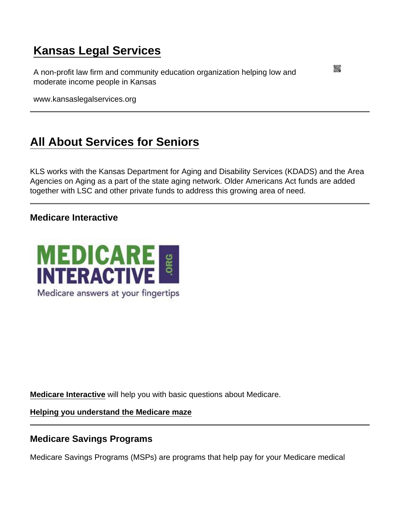# [Kansas Legal Services](https://www.kansaslegalservices.org/)

A non-profit law firm and community education organization helping low and moderate income people in Kansas

www.kansaslegalservices.org

# [All About Services for Seniors](https://www.kansaslegalservices.org/node/seniors)

KLS works with the Kansas Department for Aging and Disability Services (KDADS) and the Area Agencies on Aging as a part of the state aging network. Older Americans Act funds are added together with LSC and other private funds to address this growing area of need.

Medicare Interactive

[Medicare Interactive](http://www.medicareinteractive.org/index.php) will help you with basic questions about Medicare.

[Helping you understand the Medicare maze](http://www.medicareinteractive.org/get-answers/introduction-to-medicare)

Medicare Savings Programs

Medicare Savings Programs (MSPs) are programs that help pay for your Medicare medical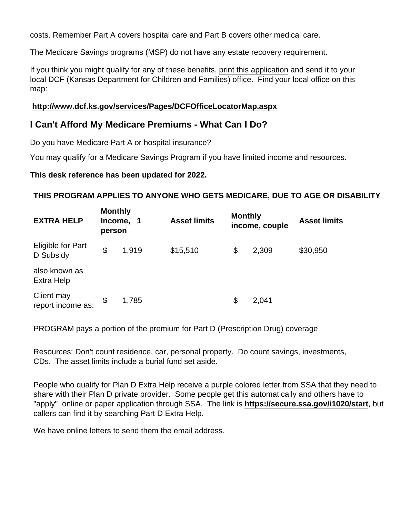costs. Remember Part A covers hospital care and Part B covers other medical care.

The Medicare Savings programs (MSP) do not have any estate recovery requirement.

If you think you might qualify for any of these benefits, [print this application](http://www.dcf.ks.gov/Documents/Food/ES-3100.8_Application_Redetermination_01-06.pdf) and send it to your local DCF (Kansas Department for Children and Families) office. Find your local office on this map:

<http://www.dcf.ks.gov/services/Pages/DCFOfficeLocatorMap.aspx>

I Can't Afford My Medicare Premiums - What Can I Do?

Do you have Medicare Part A or hospital insurance?

You may qualify for a Medicare Savings Program if you have limited income and resources.

This desk reference has been updated for 2022.

THIS PROGRAM APPLIES TO ANYONE WHO GETS MEDICARE, DUE TO AGE OR DISABILITY

| <b>EXTRA HELP</b>                     | Monthly<br>Income,<br>person |       | <b>Asset limits</b> | Monthly<br>income, couple |       | <b>Asset limits</b> |
|---------------------------------------|------------------------------|-------|---------------------|---------------------------|-------|---------------------|
| <b>Eligible for Part</b><br>D Subsidy | \$                           | 1,919 | \$15,510            | \$                        | 2,309 | \$30,950            |
| also known as<br>Extra Help           |                              |       |                     |                           |       |                     |
| Client may<br>report income as:       | \$                           | 1,785 |                     | \$                        | 2,041 |                     |

PROGRAM pays a portion of the premium for Part D (Prescription Drug) coverage

Resources: Don't count residence, car, personal property. Do count savings, investments, CDs. The asset limits include a burial fund set aside.

People who qualify for Plan D Extra Help receive a purple colored letter from SSA that they need to share with their Plan D private provider. Some people get this automatically and others have to "apply" online or paper application through SSA. The link is <https://secure.ssa.gov/i1020/start> , but callers can find it by searching Part D Extra Help.

We have online letters to send them the email address.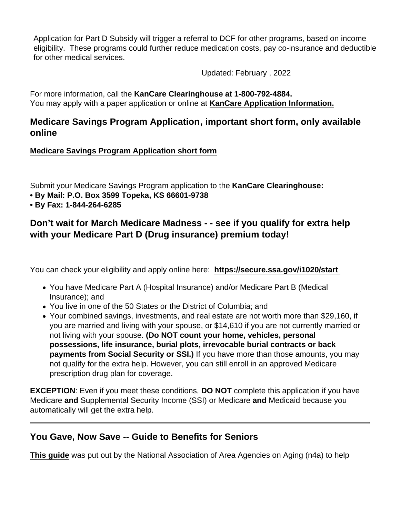Application for Part D Subsidy will trigger a referral to DCF for other programs, based on income eligibility. These programs could further reduce medication costs, pay co-insurance and deductible for other medical services.

Updated: February , 2022

For more information, call the KanCare Clearinghouse at 1-800-792-4884. You may apply with a paper application or online at [KanCare Application Information.](https://www.kancare.ks.gov/consumers/apply-for-kancare)

Medicare Savings Program Application , important short form, only available online

[Medicare Savings Program Application short form](https://www.kancare.ks.gov/docs/default-source/consumers/apply/medicare-savings-application/es-3100-8-medicare-savings-program-application.pdf?sfvrsn=2be94d1b_18)

Submit your Medicare Savings Program application to the KanCare Clearinghouse:

- By Mail: P.O. Box 3599 Topeka, KS 66601-9738
- By Fax: 1-844-264-6285

Don't wait for March Medicare Madness - - see if you qualify for extra help with your Medicare Part D (Drug insurance) premium today!

You can check your eligibility and apply online here: <https://secure.ssa.gov/i1020/start>

- You have Medicare Part A (Hospital Insurance) and/or Medicare Part B (Medical Insurance); and
- You live in one of the 50 States or the District of Columbia; and
- Your combined savings, investments, and real estate are not worth more than \$29,160, if you are married and living with your spouse, or \$14,610 if you are not currently married or not living with your spouse. (Do NOT count your home, vehicles, personal possessions, life insurance, burial plots, irrevocable burial contracts or back payments from Social Security or SSI.) If you have more than those amounts, you may not qualify for the extra help. However, you can still enroll in an approved Medicare prescription drug plan for coverage.

EXCEPTION: Even if you meet these conditions, DO NOT complete this application if you have Medicare and Supplemental Security Income (SSI) or Medicare and Medicaid because you automatically will get the extra help.

## [You Gave, Now Save -- Guide to Benefits for Seniors](http://www.kansaslegalservices.org/sites/kansaslegalservices.org/files/Guide-to-Benefits 508 Compliant.pdf)

[This guide](http://www.kansaslegalservices.org/sites/kansaslegalservices.org/files/Guide-to-Benefits 508 Compliant.pdf) was put out by the National Association of Area Agencies on Aging (n4a) to help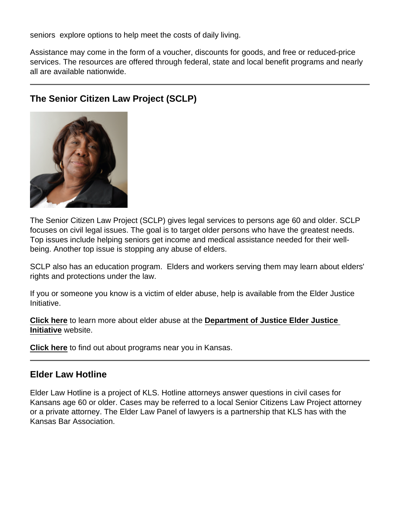seniors explore options to help meet the costs of daily living.

Assistance may come in the form of a voucher, discounts for goods, and free or reduced-price services. The resources are offered through federal, state and local benefit programs and nearly all are available nationwide.

|  | The Senior Citizen Law Project (SCLP) |
|--|---------------------------------------|
|--|---------------------------------------|

The Senior Citizen Law Project (SCLP) gives legal services to persons age 60 and older. SCLP focuses on civil legal issues. The goal is to target older persons who have the greatest needs. Top issues include helping seniors get income and medical assistance needed for their wellbeing. Another top issue is stopping any abuse of elders.

SCLP also has an education program. Elders and workers serving them may learn about elders' rights and protections under the law.

If you or someone you know is a victim of elder abuse, help is available from the Elder Justice Initiative.

[Click here](https://www.justice.gov/elderjustice) to learn more about elder abuse at the [Department of Justice Elder Justice](https://www.justice.gov/elderjustice)  [Initiative](https://www.justice.gov/elderjustice) website.

[Click here](https://www.justice.gov/elderjustice/support/resources-neighborhood?state=KS) to find out about programs near you in Kansas.

#### Elder Law Hotline

Elder Law Hotline is a project of KLS. Hotline attorneys answer questions in civil cases for Kansans age 60 or older. Cases may be referred to a local Senior Citizens Law Project attorney or a private attorney. The Elder Law Panel of lawyers is a partnership that KLS has with the Kansas Bar Association.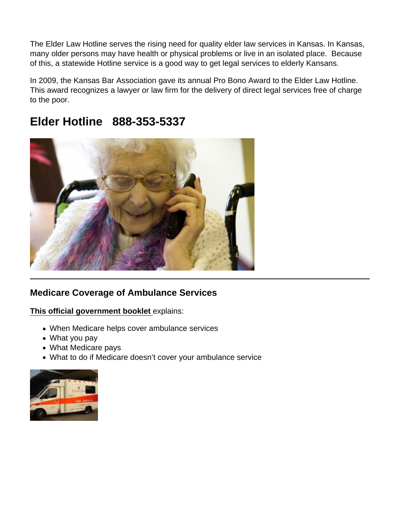The Elder Law Hotline serves the rising need for quality elder law services in Kansas. In Kansas, many older persons may have health or physical problems or live in an isolated place. Because of this, a statewide Hotline service is a good way to get legal services to elderly Kansans.

In 2009, the Kansas Bar Association gave its annual Pro Bono Award to the Elder Law Hotline. This award recognizes a lawyer or law firm for the delivery of direct legal services free of charge to the poor.

## Elder Hotline 888-353-5337

## Medicare Coverage of Ambulance Services

[This official government booklet](https://www.kansaslegalservices.org/sites/kansaslegalservices.org/files/Medicare Coverage of Ambulance Services.pdf) explains:

- When Medicare helps cover ambulance services
- What you pay
- What Medicare pays
- What to do if Medicare doesn't cover your ambulance service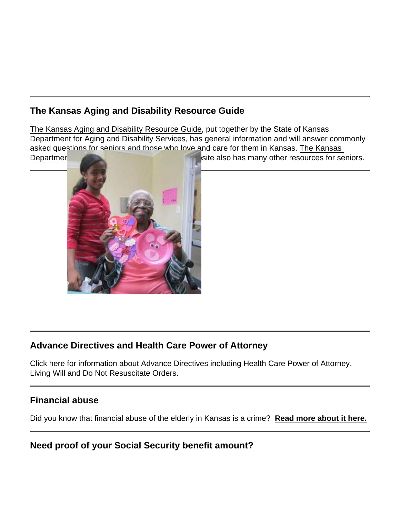The Kansas Aging and Disability Resource Guide

[The Kansas Aging and Disability Resource Guide,](https://www.kansaslegalservices.org/sites/kansaslegalservices.org/files/Aging and Disability Resource_Guide_2013.pdf) put together by the State of Kansas Department for Aging and Disability Services, has general information and will answer commonly asked questions for seniors and those who love and care for them in Kansas. [The Kansas](http://www.kdads.ks.gov/)  [Department for Aging and Disability Services](http://www.kdads.ks.gov/) website also has many other resources for seniors.

## Advance Directives and Health Care Power of Attorney

[Click here](http://kansaslegalservices.org/taxonomy/term/129) for information about Advance Directives including Health Care Power of Attorney, Living Will and Do Not Resuscitate Orders.

Financial abuse

Did you know that financial abuse of the elderly in Kansas is a crime? [Read more about it here.](http://www.kansaslegalservices.org/node/1910/financial-abuse-elderly-crime-kansas)

Need proof of your Social Security benefit amount?